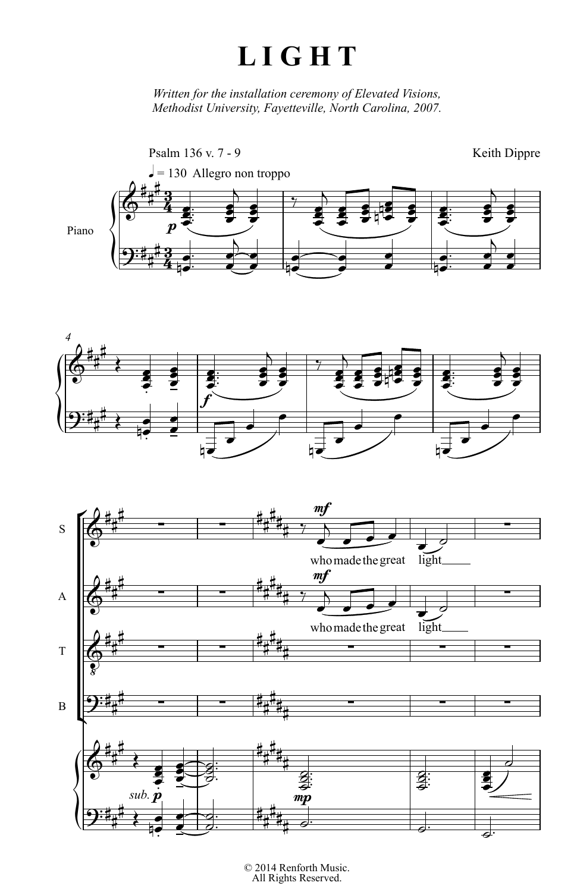## **L I G H T**

*Written for the installation ceremony of Elevated Visions,*<br>*Methodist University Equatorilla North Caroling*, 2007 *University, Fayetteville, North Carolina, 2007.*







2014 Reniorun Music.<br>All Rights Reserved. © 2014 Renforth Music.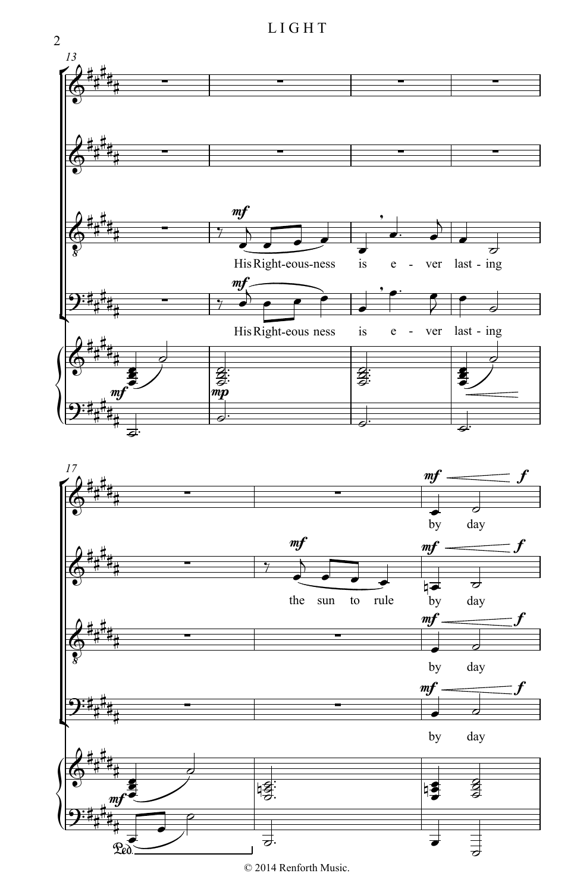